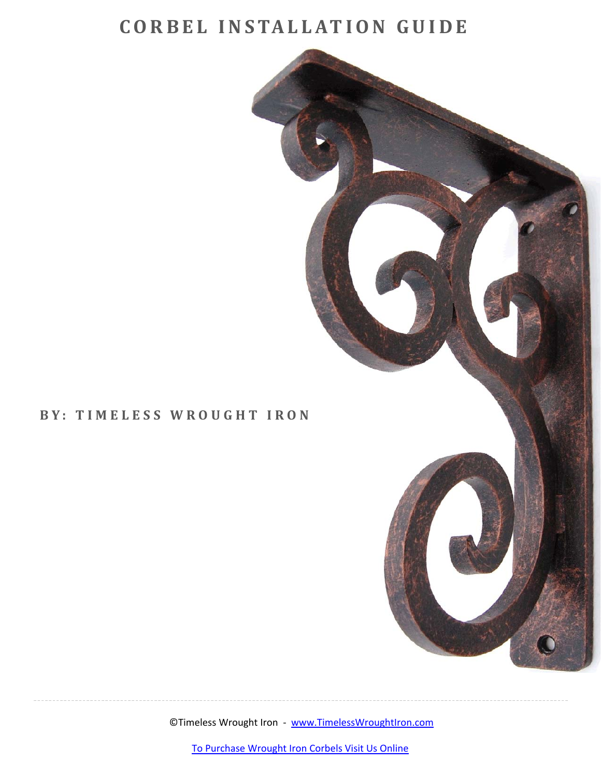## **CORBEL IN STALLAT ION GUIDE**



©Timeless Wrought Iron ‐ www.TimelessWroughtIron.com

To [Purchase](http://www.timelesswroughtiron.com/wrought-iron-corbels-s/668.htm) Wrought Iron Corbels Visit Us Online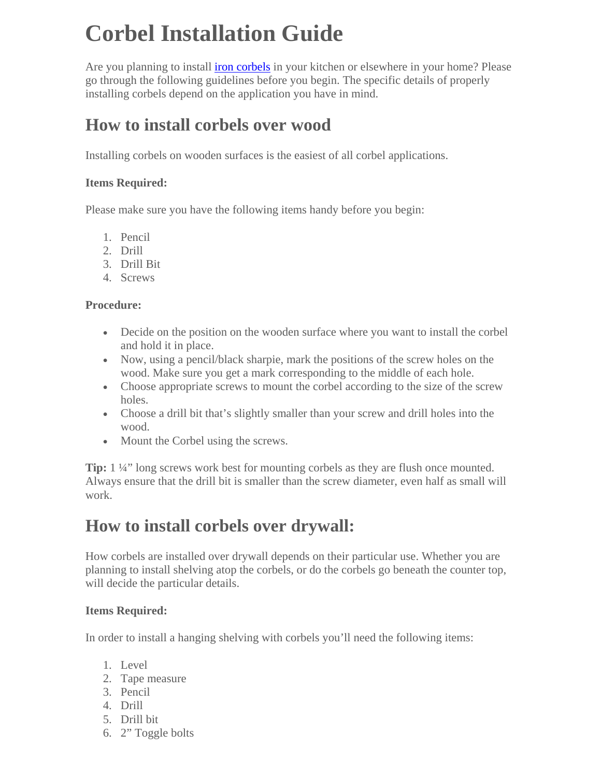# **Corbel Installation Guide**

Are you planning to install [iron corbels i](http://www.timelesswroughtiron.com/wrought-iron-corbels-s/668.htm)n your kitchen or elsewhere in your home? Please go through the following guidelines before you begin. The specific details of properly installing corbels depend on the application you have in mind.

### **How to install corbels over wood**

Installing corbels on wooden surfaces is the easiest of all corbel applications.

#### **Items Required:**

Please make sure you have the following items handy before you begin:

- 1. Pencil
- 2. Drill
- 3. Drill Bit
- 4. Screws

#### **Procedure:**

- Decide on the position on the wooden surface where you want to install the corbel and hold it in place.
- Now, using a pencil/black sharpie, mark the positions of the screw holes on the wood. Make sure you get a mark corresponding to the middle of each hole.
- Choose appropriate screws to mount the corbel according to the size of the screw holes.
- Choose a drill bit that's slightly smaller than your screw and drill holes into the wood.
- Mount the Corbel using the screws.

**Tip:** 1 ¼" long screws work best for mounting corbels as they are flush once mounted. Always ensure that the drill bit is smaller than the screw diameter, even half as small will work.

### **How to install corbels over drywall:**

How corbels are installed over drywall depends on their particular use. Whether you are planning to install shelving atop the corbels, or do the corbels go beneath the counter top, will decide the particular details.

#### **Items Required:**

In order to install a hanging shelving with corbels you'll need the following items:

- 1. Level
- 2. Tape measure
- 3. Pencil
- 4. Drill
- 5. Drill bit
- 6. 2" Toggle bolts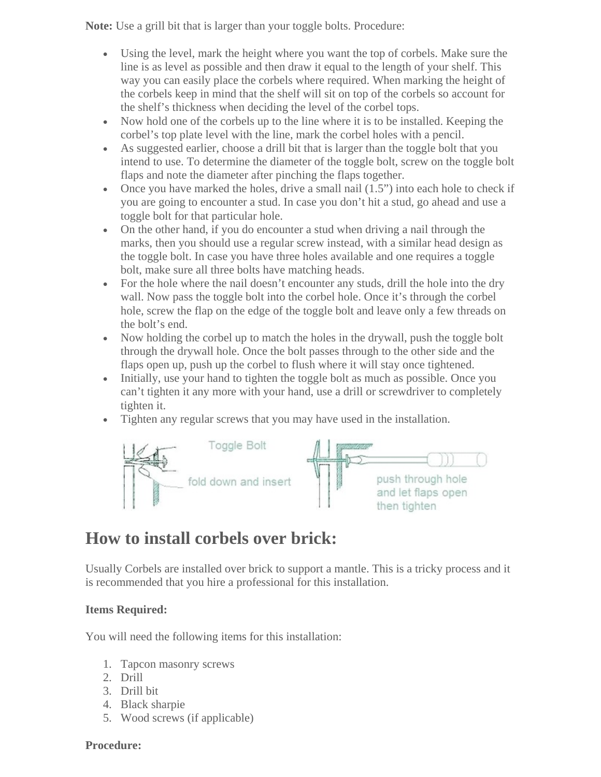**Note:** Use a grill bit that is larger than your toggle bolts. Procedure:

- Using the level, mark the height where you want the top of corbels. Make sure the line is as level as possible and then draw it equal to the length of your shelf. This way you can easily place the corbels where required. When marking the height of the corbels keep in mind that the shelf will sit on top of the corbels so account for the shelf's thickness when deciding the level of the corbel tops.
- Now hold one of the corbels up to the line where it is to be installed. Keeping the corbel's top plate level with the line, mark the corbel holes with a pencil.
- As suggested earlier, choose a drill bit that is larger than the toggle bolt that you intend to use. To determine the diameter of the toggle bolt, screw on the toggle bolt flaps and note the diameter after pinching the flaps together.
- Once you have marked the holes, drive a small nail  $(1.5)$  into each hole to check if you are going to encounter a stud. In case you don't hit a stud, go ahead and use a toggle bolt for that particular hole.
- On the other hand, if you do encounter a stud when driving a nail through the marks, then you should use a regular screw instead, with a similar head design as the toggle bolt. In case you have three holes available and one requires a toggle bolt, make sure all three bolts have matching heads.
- For the hole where the nail doesn't encounter any studs, drill the hole into the dry wall. Now pass the toggle bolt into the corbel hole. Once it's through the corbel hole, screw the flap on the edge of the toggle bolt and leave only a few threads on the bolt's end.
- Now holding the corbel up to match the holes in the drywall, push the toggle bolt through the drywall hole. Once the bolt passes through to the other side and the flaps open up, push up the corbel to flush where it will stay once tightened.
- Initially, use your hand to tighten the toggle bolt as much as possible. Once you can't tighten it any more with your hand, use a drill or screwdriver to completely tighten it.
- Tighten any regular screws that you may have used in the installation.



### **How to install corbels over brick:**

Usually Corbels are installed over brick to support a mantle. This is a tricky process and it is recommended that you hire a professional for this installation.

#### **Items Required:**

You will need the following items for this installation:

- 1. Tapcon masonry screws
- 2. Drill
- 3. Drill bit
- 4. Black sharpie
- 5. Wood screws (if applicable)

#### **Procedure:**